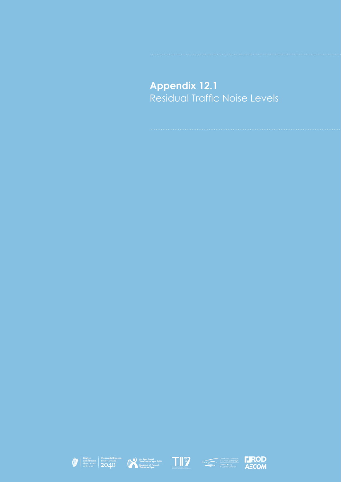## **Appendix 12.1** Residual Traffic Noise Levels









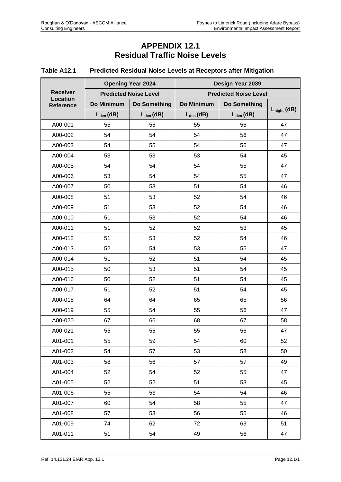## **APPENDIX 12.1 Residual Traffic Noise Levels**

## **Table A12.1 Predicted Residual Noise Levels at Receptors after Mitigation**

|                                    | <b>Opening Year 2024</b>     |                     | Design Year 2039             |                |                  |
|------------------------------------|------------------------------|---------------------|------------------------------|----------------|------------------|
| <b>Receiver</b><br><b>Location</b> | <b>Predicted Noise Level</b> |                     | <b>Predicted Noise Level</b> |                |                  |
| Reference                          | Do Minimum                   | <b>Do Something</b> | Do Minimum                   | Do Something   |                  |
|                                    | $L_{den}$ (dB)               | $L_{den}$ (dB)      | $L_{den}$ (dB)               | $L_{den}$ (dB) | $L_{night}$ (dB) |
| A00-001                            | 55                           | 55                  | 55                           | 56             | 47               |
| A00-002                            | 54                           | 54                  | 54                           | 56             | 47               |
| A00-003                            | 54                           | 55                  | 54                           | 56             | 47               |
| A00-004                            | 53                           | 53                  | 53                           | 54             | 45               |
| A00-005                            | 54                           | 54                  | 54                           | 55             | 47               |
| A00-006                            | 53                           | 54                  | 54                           | 55             | 47               |
| A00-007                            | 50                           | 53                  | 51                           | 54             | 46               |
| A00-008                            | 51                           | 53                  | 52                           | 54             | 46               |
| A00-009                            | 51                           | 53                  | 52                           | 54             | 46               |
| A00-010                            | 51                           | 53                  | 52                           | 54             | 46               |
| A00-011                            | 51                           | 52                  | 52                           | 53             | 45               |
| A00-012                            | 51                           | 53                  | 52                           | 54             | 46               |
| A00-013                            | 52                           | 54                  | 53                           | 55             | 47               |
| A00-014                            | 51                           | 52                  | 51                           | 54             | 45               |
| A00-015                            | 50                           | 53                  | 51                           | 54             | 45               |
| A00-016                            | 50                           | 52                  | 51                           | 54             | 45               |
| A00-017                            | 51                           | 52                  | 51                           | 54             | 45               |
| A00-018                            | 64                           | 64                  | 65                           | 65             | 56               |
| A00-019                            | 55                           | 54                  | 55                           | 56             | 47               |
| A00-020                            | 67                           | 66                  | 68                           | 67             | 58               |
| A00-021                            | 55                           | 55                  | 55                           | 56             | 47               |
| A01-001                            | 55                           | 59                  | 54                           | 60             | 52               |
| A01-002                            | 54                           | 57                  | 53                           | 58             | 50               |
| A01-003                            | 58                           | 56                  | 57                           | 57             | 49               |
| A01-004                            | 52                           | 54                  | 52                           | 55             | 47               |
| A01-005                            | 52                           | 52                  | 51                           | 53             | 45               |
| A01-006                            | 55                           | 53                  | 54                           | 54             | 46               |
| A01-007                            | 60                           | 54                  | 58                           | 55             | 47               |
| A01-008                            | 57                           | 53                  | 56                           | 55             | 46               |
| A01-009                            | 74                           | 62                  | 72                           | 63             | 51               |
| A01-011                            | 51                           | 54                  | 49                           | 56             | 47               |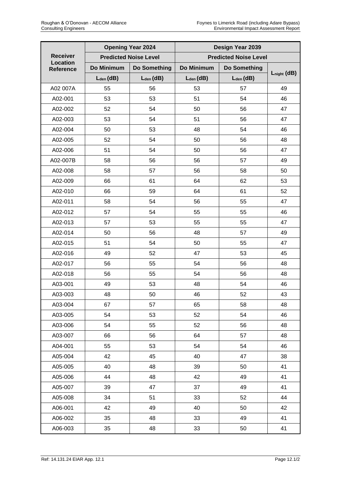|                              |                | <b>Opening Year 2024</b>     | Design Year 2039             |                |                  |
|------------------------------|----------------|------------------------------|------------------------------|----------------|------------------|
| <b>Receiver</b>              |                | <b>Predicted Noise Level</b> | <b>Predicted Noise Level</b> |                |                  |
| <b>Location</b><br>Reference | Do Minimum     | <b>Do Something</b>          | Do Minimum                   | Do Something   |                  |
|                              | $L_{den}$ (dB) | $L_{den}$ (dB)               | $L_{den}$ (dB)               | $L_{den}$ (dB) | $L_{night}$ (dB) |
| A02 007A                     | 55             | 56                           | 53                           | 57             | 49               |
| A02-001                      | 53             | 53                           | 51                           | 54             | 46               |
| A02-002                      | 52             | 54                           | 50                           | 56             | 47               |
| A02-003                      | 53             | 54                           | 51                           | 56             | 47               |
| A02-004                      | 50             | 53                           | 48                           | 54             | 46               |
| A02-005                      | 52             | 54                           | 50                           | 56             | 48               |
| A02-006                      | 51             | 54                           | 50                           | 56             | 47               |
| A02-007B                     | 58             | 56                           | 56                           | 57             | 49               |
| A02-008                      | 58             | 57                           | 56                           | 58             | 50               |
| A02-009                      | 66             | 61                           | 64                           | 62             | 53               |
| A02-010                      | 66             | 59                           | 64                           | 61             | 52               |
| A02-011                      | 58             | 54                           | 56                           | 55             | 47               |
| A02-012                      | 57             | 54                           | 55                           | 55             | 46               |
| A02-013                      | 57             | 53                           | 55                           | 55             | 47               |
| A02-014                      | 50             | 56                           | 48                           | 57             | 49               |
| A02-015                      | 51             | 54                           | 50                           | 55             | 47               |
| A02-016                      | 49             | 52                           | 47                           | 53             | 45               |
| A02-017                      | 56             | 55                           | 54                           | 56             | 48               |
| A02-018                      | 56             | 55                           | 54                           | 56             | 48               |
| A03-001                      | 49             | 53                           | 48                           | 54             | 46               |
| A03-003                      | 48             | 50                           | 46                           | 52             | 43               |
| A03-004                      | 67             | 57                           | 65                           | 58             | 48               |
| A03-005                      | 54             | 53                           | 52                           | 54             | 46               |
| A03-006                      | 54             | 55                           | 52                           | 56             | 48               |
| A03-007                      | 66             | 56                           | 64                           | 57             | 48               |
| A04-001                      | 55             | 53                           | 54                           | 54             | 46               |
| A05-004                      | 42             | 45                           | 40                           | 47             | 38               |
| A05-005                      | 40             | 48                           | 39                           | 50             | 41               |
| A05-006                      | 44             | 48                           | 42                           | 49             | 41               |
| A05-007                      | 39             | 47                           | 37                           | 49             | 41               |
| A05-008                      | 34             | 51                           | 33                           | 52             | 44               |
| A06-001                      | 42             | 49                           | 40                           | 50             | 42               |
| A06-002                      | 35             | 48                           | 33                           | 49             | 41               |
| A06-003                      | 35             | 48                           | 33                           | 50             | 41               |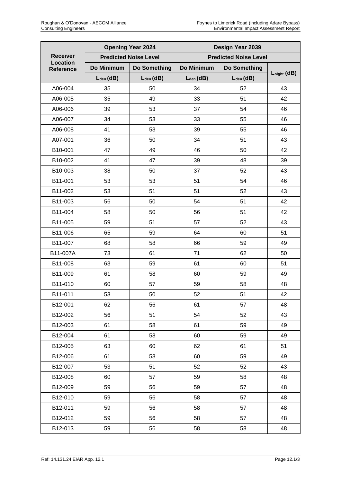|                              | <b>Opening Year 2024</b>     |                     | Design Year 2039             |                |                  |
|------------------------------|------------------------------|---------------------|------------------------------|----------------|------------------|
| <b>Receiver</b>              | <b>Predicted Noise Level</b> |                     | <b>Predicted Noise Level</b> |                |                  |
| <b>Location</b><br>Reference | Do Minimum                   | <b>Do Something</b> | Do Minimum                   | Do Something   |                  |
|                              | $L_{den}$ (dB)               | $L_{den}$ (dB)      | $L_{den}$ (dB)               | $L_{den}$ (dB) | $L_{night}$ (dB) |
| A06-004                      | 35                           | 50                  | 34                           | 52             | 43               |
| A06-005                      | 35                           | 49                  | 33                           | 51             | 42               |
| A06-006                      | 39                           | 53                  | 37                           | 54             | 46               |
| A06-007                      | 34                           | 53                  | 33                           | 55             | 46               |
| A06-008                      | 41                           | 53                  | 39                           | 55             | 46               |
| A07-001                      | 36                           | 50                  | 34                           | 51             | 43               |
| B10-001                      | 47                           | 49                  | 46                           | 50             | 42               |
| B10-002                      | 41                           | 47                  | 39                           | 48             | 39               |
| B10-003                      | 38                           | 50                  | 37                           | 52             | 43               |
| B11-001                      | 53                           | 53                  | 51                           | 54             | 46               |
| B11-002                      | 53                           | 51                  | 51                           | 52             | 43               |
| B11-003                      | 56                           | 50                  | 54                           | 51             | 42               |
| B11-004                      | 58                           | 50                  | 56                           | 51             | 42               |
| B11-005                      | 59                           | 51                  | 57                           | 52             | 43               |
| B11-006                      | 65                           | 59                  | 64                           | 60             | 51               |
| B11-007                      | 68                           | 58                  | 66                           | 59             | 49               |
| B11-007A                     | 73                           | 61                  | 71                           | 62             | 50               |
| B11-008                      | 63                           | 59                  | 61                           | 60             | 51               |
| B11-009                      | 61                           | 58                  | 60                           | 59             | 49               |
| B11-010                      | 60                           | 57                  | 59                           | 58             | 48               |
| B11-011                      | 53                           | 50                  | 52                           | 51             | 42               |
| B12-001                      | 62                           | 56                  | 61                           | 57             | 48               |
| B12-002                      | 56                           | 51                  | 54                           | 52             | 43               |
| B12-003                      | 61                           | 58                  | 61                           | 59             | 49               |
| B12-004                      | 61                           | 58                  | 60                           | 59             | 49               |
| B12-005                      | 63                           | 60                  | 62                           | 61             | 51               |
| B12-006                      | 61                           | 58                  | 60                           | 59             | 49               |
| B12-007                      | 53                           | 51                  | 52                           | 52             | 43               |
| B12-008                      | 60                           | 57                  | 59                           | 58             | 48               |
| B12-009                      | 59                           | 56                  | 59                           | 57             | 48               |
| B12-010                      | 59                           | 56                  | 58                           | 57             | 48               |
| B12-011                      | 59                           | 56                  | 58                           | 57             | 48               |
| B12-012                      | 59                           | 56                  | 58                           | 57             | 48               |
| B12-013                      | 59                           | 56                  | 58                           | 58             | 48               |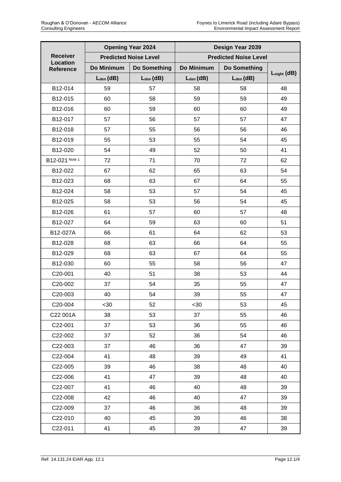|                              |                              | <b>Opening Year 2024</b> |                              | Design Year 2039 |                  |
|------------------------------|------------------------------|--------------------------|------------------------------|------------------|------------------|
| <b>Receiver</b>              | <b>Predicted Noise Level</b> |                          | <b>Predicted Noise Level</b> |                  |                  |
| <b>Location</b><br>Reference | Do Minimum                   | <b>Do Something</b>      | Do Minimum                   | Do Something     |                  |
|                              | $L_{den}$ (dB)               | $L_{den}$ (dB)           | $L_{den}$ (dB)               | $L_{den}$ (dB)   | $L_{night}$ (dB) |
| B12-014                      | 59                           | 57                       | 58                           | 58               | 48               |
| B12-015                      | 60                           | 58                       | 59                           | 59               | 49               |
| B12-016                      | 60                           | 59                       | 60                           | 60               | 49               |
| B12-017                      | 57                           | 56                       | 57                           | 57               | 47               |
| B12-018                      | 57                           | 55                       | 56                           | 56               | 46               |
| B12-019                      | 55                           | 53                       | 55                           | 54               | 45               |
| B12-020                      | 54                           | 49                       | 52                           | 50               | 41               |
| B12-021 Note 1               | 72                           | 71                       | 70                           | 72               | 62               |
| B12-022                      | 67                           | 62                       | 65                           | 63               | 54               |
| B12-023                      | 68                           | 63                       | 67                           | 64               | 55               |
| B12-024                      | 58                           | 53                       | 57                           | 54               | 45               |
| B12-025                      | 58                           | 53                       | 56                           | 54               | 45               |
| B12-026                      | 61                           | 57                       | 60                           | 57               | 48               |
| B12-027                      | 64                           | 59                       | 63                           | 60               | 51               |
| B12-027A                     | 66                           | 61                       | 64                           | 62               | 53               |
| B12-028                      | 68                           | 63                       | 66                           | 64               | 55               |
| B12-029                      | 68                           | 63                       | 67                           | 64               | 55               |
| B12-030                      | 60                           | 55                       | 58                           | 56               | 47               |
| C20-001                      | 40                           | 51                       | 38                           | 53               | 44               |
| C20-002                      | 37                           | 54                       | 35                           | 55               | 47               |
| C20-003                      | 40                           | 54                       | 39                           | 55               | 47               |
| C20-004                      | <30                          | 52                       | $30$                         | 53               | 45               |
| C22 001A                     | 38                           | 53                       | 37                           | 55               | 46               |
| C22-001                      | 37                           | 53                       | 36                           | 55               | 46               |
| C22-002                      | 37                           | 52                       | 36                           | 54               | 46               |
| C22-003                      | 37                           | 46                       | 36                           | 47               | 39               |
| C22-004                      | 41                           | 48                       | 39                           | 49               | 41               |
| C22-005                      | 39                           | 46                       | 38                           | 48               | 40               |
| C22-006                      | 41                           | 47                       | 39                           | 48               | 40               |
| C22-007                      | 41                           | 46                       | 40                           | 48               | 39               |
| C22-008                      | 42                           | 46                       | 40                           | 47               | 39               |
| C22-009                      | 37                           | 46                       | 36                           | 48               | 39               |
| C22-010                      | 40                           | 45                       | 39                           | 46               | 38               |
| C22-011                      | 41                           | 45                       | 39                           | 47               | 39               |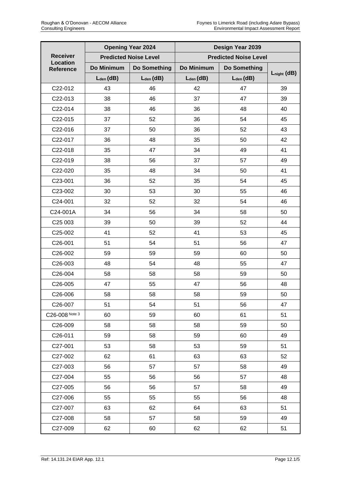|                                     |                | <b>Opening Year 2024</b>     |                | Design Year 2039             |                  |
|-------------------------------------|----------------|------------------------------|----------------|------------------------------|------------------|
| <b>Receiver</b>                     |                | <b>Predicted Noise Level</b> |                | <b>Predicted Noise Level</b> |                  |
| <b>Location</b><br><b>Reference</b> | Do Minimum     | Do Something                 | Do Minimum     | Do Something                 |                  |
|                                     | $L_{den}$ (dB) | $L_{den}$ (dB)               | $L_{den}$ (dB) | $L_{den}$ (dB)               | $L_{night}$ (dB) |
| C22-012                             | 43             | 46                           | 42             | 47                           | 39               |
| C22-013                             | 38             | 46                           | 37             | 47                           | 39               |
| C22-014                             | 38             | 46                           | 36             | 48                           | 40               |
| C22-015                             | 37             | 52                           | 36             | 54                           | 45               |
| C22-016                             | 37             | 50                           | 36             | 52                           | 43               |
| C22-017                             | 36             | 48                           | 35             | 50                           | 42               |
| C22-018                             | 35             | 47                           | 34             | 49                           | 41               |
| C22-019                             | 38             | 56                           | 37             | 57                           | 49               |
| C22-020                             | 35             | 48                           | 34             | 50                           | 41               |
| C23-001                             | 36             | 52                           | 35             | 54                           | 45               |
| C23-002                             | 30             | 53                           | 30             | 55                           | 46               |
| C24-001                             | 32             | 52                           | 32             | 54                           | 46               |
| C24-001A                            | 34             | 56                           | 34             | 58                           | 50               |
| C <sub>25</sub> 003                 | 39             | 50                           | 39             | 52                           | 44               |
| C25-002                             | 41             | 52                           | 41             | 53                           | 45               |
| C26-001                             | 51             | 54                           | 51             | 56                           | 47               |
| C26-002                             | 59             | 59                           | 59             | 60                           | 50               |
| C26-003                             | 48             | 54                           | 48             | 55                           | 47               |
| C26-004                             | 58             | 58                           | 58             | 59                           | 50               |
| C26-005                             | 47             | 55                           | 47             | 56                           | 48               |
| C26-006                             | 58             | 58                           | 58             | 59                           | 50               |
| C26-007                             | 51             | 54                           | 51             | 56                           | 47               |
| C26-008 Note 3                      | 60             | 59                           | 60             | 61                           | 51               |
| C26-009                             | 58             | 58                           | 58             | 59                           | 50               |
| C26-011                             | 59             | 58                           | 59             | 60                           | 49               |
| C27-001                             | 53             | 58                           | 53             | 59                           | 51               |
| C27-002                             | 62             | 61                           | 63             | 63                           | 52               |
| C27-003                             | 56             | 57                           | 57             | 58                           | 49               |
| C27-004                             | 55             | 56                           | 56             | 57                           | 48               |
| C27-005                             | 56             | 56                           | 57             | 58                           | 49               |
| C27-006                             | 55             | 55                           | 55             | 56                           | 48               |
| C27-007                             | 63             | 62                           | 64             | 63                           | 51               |
| C27-008                             | 58             | 57                           | 58             | 59                           | 49               |
| C27-009                             | 62             | 60                           | 62             | 62                           | 51               |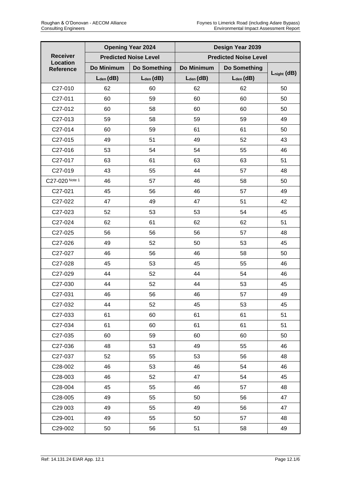|                              | <b>Opening Year 2024</b> |                              | Design Year 2039             |                |                  |
|------------------------------|--------------------------|------------------------------|------------------------------|----------------|------------------|
| <b>Receiver</b>              |                          | <b>Predicted Noise Level</b> | <b>Predicted Noise Level</b> |                |                  |
| <b>Location</b><br>Reference | Do Minimum               | <b>Do Something</b>          | Do Minimum                   | Do Something   |                  |
|                              | $L_{den}$ (dB)           | $L_{den}$ (dB)               | $L_{den}$ (dB)               | $L_{den}$ (dB) | $L_{night}$ (dB) |
| C27-010                      | 62                       | 60                           | 62                           | 62             | 50               |
| C27-011                      | 60                       | 59                           | 60                           | 60             | 50               |
| C27-012                      | 60                       | 58                           | 60                           | 60             | 50               |
| C27-013                      | 59                       | 58                           | 59                           | 59             | 49               |
| C27-014                      | 60                       | 59                           | 61                           | 61             | 50               |
| C27-015                      | 49                       | 51                           | 49                           | 52             | 43               |
| C27-016                      | 53                       | 54                           | 54                           | 55             | 46               |
| C27-017                      | 63                       | 61                           | 63                           | 63             | 51               |
| C27-019                      | 43                       | 55                           | 44                           | 57             | 48               |
| C27-020 Note 1               | 46                       | 57                           | 46                           | 58             | 50               |
| C27-021                      | 45                       | 56                           | 46                           | 57             | 49               |
| C27-022                      | 47                       | 49                           | 47                           | 51             | 42               |
| C27-023                      | 52                       | 53                           | 53                           | 54             | 45               |
| C27-024                      | 62                       | 61                           | 62                           | 62             | 51               |
| C27-025                      | 56                       | 56                           | 56                           | 57             | 48               |
| C27-026                      | 49                       | 52                           | 50                           | 53             | 45               |
| C27-027                      | 46                       | 56                           | 46                           | 58             | 50               |
| C27-028                      | 45                       | 53                           | 45                           | 55             | 46               |
| C27-029                      | 44                       | 52                           | 44                           | 54             | 46               |
| C27-030                      | 44                       | 52                           | 44                           | 53             | 45               |
| C27-031                      | 46                       | 56                           | 46                           | 57             | 49               |
| C27-032                      | 44                       | 52                           | 45                           | 53             | 45               |
| C27-033                      | 61                       | 60                           | 61                           | 61             | 51               |
| C27-034                      | 61                       | 60                           | 61                           | 61             | 51               |
| C27-035                      | 60                       | 59                           | 60                           | 60             | 50               |
| C27-036                      | 48                       | 53                           | 49                           | 55             | 46               |
| C27-037                      | 52                       | 55                           | 53                           | 56             | 48               |
| C28-002                      | 46                       | 53                           | 46                           | 54             | 46               |
| C28-003                      | 46                       | 52                           | 47                           | 54             | 45               |
| C28-004                      | 45                       | 55                           | 46                           | 57             | 48               |
| C28-005                      | 49                       | 55                           | 50                           | 56             | 47               |
| C29 003                      | 49                       | 55                           | 49                           | 56             | 47               |
| C29-001                      | 49                       | 55                           | 50                           | 57             | 48               |
| C29-002                      | 50                       | 56                           | 51                           | 58             | 49               |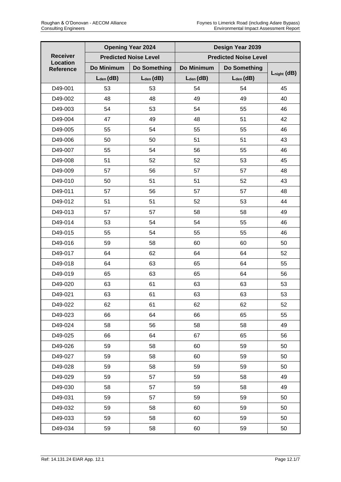|                              |                | <b>Opening Year 2024</b>     |                | Design Year 2039             |                  |
|------------------------------|----------------|------------------------------|----------------|------------------------------|------------------|
| <b>Receiver</b>              |                | <b>Predicted Noise Level</b> |                | <b>Predicted Noise Level</b> |                  |
| <b>Location</b><br>Reference | Do Minimum     | Do Something                 | Do Minimum     | Do Something                 |                  |
|                              | $L_{den}$ (dB) | $L_{den}$ (dB)               | $L_{den}$ (dB) | $L_{den}$ (dB)               | $L_{night}$ (dB) |
| D49-001                      | 53             | 53                           | 54             | 54                           | 45               |
| D49-002                      | 48             | 48                           | 49             | 49                           | 40               |
| D49-003                      | 54             | 53                           | 54             | 55                           | 46               |
| D49-004                      | 47             | 49                           | 48             | 51                           | 42               |
| D49-005                      | 55             | 54                           | 55             | 55                           | 46               |
| D49-006                      | 50             | 50                           | 51             | 51                           | 43               |
| D49-007                      | 55             | 54                           | 56             | 55                           | 46               |
| D49-008                      | 51             | 52                           | 52             | 53                           | 45               |
| D49-009                      | 57             | 56                           | 57             | 57                           | 48               |
| D49-010                      | 50             | 51                           | 51             | 52                           | 43               |
| D49-011                      | 57             | 56                           | 57             | 57                           | 48               |
| D49-012                      | 51             | 51                           | 52             | 53                           | 44               |
| D49-013                      | 57             | 57                           | 58             | 58                           | 49               |
| D49-014                      | 53             | 54                           | 54             | 55                           | 46               |
| D49-015                      | 55             | 54                           | 55             | 55                           | 46               |
| D49-016                      | 59             | 58                           | 60             | 60                           | 50               |
| D49-017                      | 64             | 62                           | 64             | 64                           | 52               |
| D49-018                      | 64             | 63                           | 65             | 64                           | 55               |
| D49-019                      | 65             | 63                           | 65             | 64                           | 56               |
| D49-020                      | 63             | 61                           | 63             | 63                           | 53               |
| D49-021                      | 63             | 61                           | 63             | 63                           | 53               |
| D49-022                      | 62             | 61                           | 62             | 62                           | 52               |
| D49-023                      | 66             | 64                           | 66             | 65                           | 55               |
| D49-024                      | 58             | 56                           | 58             | 58                           | 49               |
| D49-025                      | 66             | 64                           | 67             | 65                           | 56               |
| D49-026                      | 59             | 58                           | 60             | 59                           | 50               |
| D49-027                      | 59             | 58                           | 60             | 59                           | 50               |
| D49-028                      | 59             | 58                           | 59             | 59                           | 50               |
| D49-029                      | 59             | 57                           | 59             | 58                           | 49               |
| D49-030                      | 58             | 57                           | 59             | 58                           | 49               |
| D49-031                      | 59             | 57                           | 59             | 59                           | 50               |
| D49-032                      | 59             | 58                           | 60             | 59                           | 50               |
| D49-033                      | 59             | 58                           | 60             | 59                           | 50               |
| D49-034                      | 59             | 58                           | 60             | 59                           | 50               |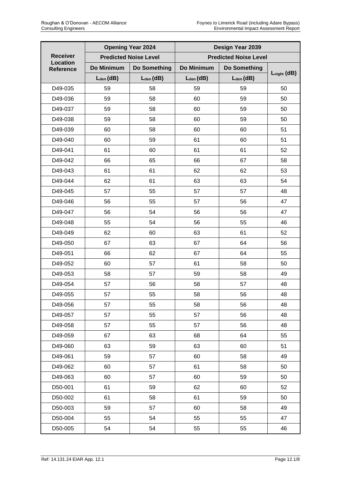|                              | <b>Opening Year 2024</b>     |                     | Design Year 2039             |                |                  |
|------------------------------|------------------------------|---------------------|------------------------------|----------------|------------------|
| <b>Receiver</b>              | <b>Predicted Noise Level</b> |                     | <b>Predicted Noise Level</b> |                |                  |
| Location<br><b>Reference</b> | Do Minimum                   | <b>Do Something</b> | Do Minimum                   | Do Something   |                  |
|                              | $L_{den}$ (dB)               | $L_{den}$ (dB)      | $L_{den}$ (dB)               | $L_{den}$ (dB) | $L_{night}$ (dB) |
| D49-035                      | 59                           | 58                  | 59                           | 59             | 50               |
| D49-036                      | 59                           | 58                  | 60                           | 59             | 50               |
| D49-037                      | 59                           | 58                  | 60                           | 59             | 50               |
| D49-038                      | 59                           | 58                  | 60                           | 59             | 50               |
| D49-039                      | 60                           | 58                  | 60                           | 60             | 51               |
| D49-040                      | 60                           | 59                  | 61                           | 60             | 51               |
| D49-041                      | 61                           | 60                  | 61                           | 61             | 52               |
| D49-042                      | 66                           | 65                  | 66                           | 67             | 58               |
| D49-043                      | 61                           | 61                  | 62                           | 62             | 53               |
| D49-044                      | 62                           | 61                  | 63                           | 63             | 54               |
| D49-045                      | 57                           | 55                  | 57                           | 57             | 48               |
| D49-046                      | 56                           | 55                  | 57                           | 56             | 47               |
| D49-047                      | 56                           | 54                  | 56                           | 56             | 47               |
| D49-048                      | 55                           | 54                  | 56                           | 55             | 46               |
| D49-049                      | 62                           | 60                  | 63                           | 61             | 52               |
| D49-050                      | 67                           | 63                  | 67                           | 64             | 56               |
| D49-051                      | 66                           | 62                  | 67                           | 64             | 55               |
| D49-052                      | 60                           | 57                  | 61                           | 58             | 50               |
| D49-053                      | 58                           | 57                  | 59                           | 58             | 49               |
| D49-054                      | 57                           | 56                  | 58                           | 57             | 48               |
| D49-055                      | 57                           | 55                  | 58                           | 56             | 48               |
| D49-056                      | 57                           | 55                  | 58                           | 56             | 48               |
| D49-057                      | 57                           | 55                  | 57                           | 56             | 48               |
| D49-058                      | 57                           | 55                  | 57                           | 56             | 48               |
| D49-059                      | 67                           | 63                  | 68                           | 64             | 55               |
| D49-060                      | 63                           | 59                  | 63                           | 60             | 51               |
| D49-061                      | 59                           | 57                  | 60                           | 58             | 49               |
| D49-062                      | 60                           | 57                  | 61                           | 58             | 50               |
| D49-063                      | 60                           | 57                  | 60                           | 59             | 50               |
| D50-001                      | 61                           | 59                  | 62                           | 60             | 52               |
| D50-002                      | 61                           | 58                  | 61                           | 59             | 50               |
| D50-003                      | 59                           | 57                  | 60                           | 58             | 49               |
| D50-004                      | 55                           | 54                  | 55                           | 55             | 47               |
| D50-005                      | 54                           | 54                  | 55                           | 55             | 46               |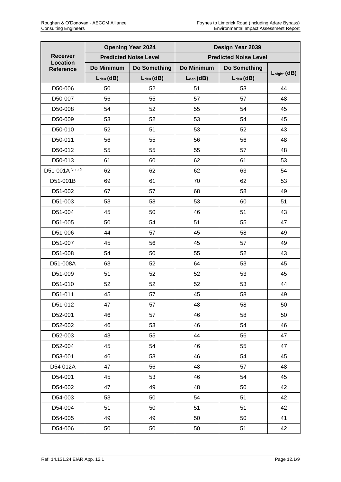|                                     | <b>Opening Year 2024</b>     |                     | Design Year 2039             |                |                  |
|-------------------------------------|------------------------------|---------------------|------------------------------|----------------|------------------|
| <b>Receiver</b>                     | <b>Predicted Noise Level</b> |                     | <b>Predicted Noise Level</b> |                |                  |
| <b>Location</b><br><b>Reference</b> | Do Minimum                   | <b>Do Something</b> | Do Minimum                   | Do Something   |                  |
|                                     | $L_{den}$ (dB)               | $L_{den}$ (dB)      | $L_{den}$ (dB)               | $L_{den}$ (dB) | $L_{night}$ (dB) |
| D50-006                             | 50                           | 52                  | 51                           | 53             | 44               |
| D50-007                             | 56                           | 55                  | 57                           | 57             | 48               |
| D50-008                             | 54                           | 52                  | 55                           | 54             | 45               |
| D50-009                             | 53                           | 52                  | 53                           | 54             | 45               |
| D50-010                             | 52                           | 51                  | 53                           | 52             | 43               |
| D50-011                             | 56                           | 55                  | 56                           | 56             | 48               |
| D50-012                             | 55                           | 55                  | 55                           | 57             | 48               |
| D50-013                             | 61                           | 60                  | 62                           | 61             | 53               |
| D51-001A Note 2                     | 62                           | 62                  | 62                           | 63             | 54               |
| D51-001B                            | 69                           | 61                  | 70                           | 62             | 53               |
| D51-002                             | 67                           | 57                  | 68                           | 58             | 49               |
| D51-003                             | 53                           | 58                  | 53                           | 60             | 51               |
| D51-004                             | 45                           | 50                  | 46                           | 51             | 43               |
| D51-005                             | 50                           | 54                  | 51                           | 55             | 47               |
| D51-006                             | 44                           | 57                  | 45                           | 58             | 49               |
| D51-007                             | 45                           | 56                  | 45                           | 57             | 49               |
| D51-008                             | 54                           | 50                  | 55                           | 52             | 43               |
| D51-008A                            | 63                           | 52                  | 64                           | 53             | 45               |
| D51-009                             | 51                           | 52                  | 52                           | 53             | 45               |
| D51-010                             | 52                           | 52                  | 52                           | 53             | 44               |
| D51-011                             | 45                           | 57                  | 45                           | 58             | 49               |
| D51-012                             | 47                           | 57                  | 48                           | 58             | 50               |
| D52-001                             | 46                           | 57                  | 46                           | 58             | 50               |
| D52-002                             | 46                           | 53                  | 46                           | 54             | 46               |
| D52-003                             | 43                           | 55                  | 44                           | 56             | 47               |
| D52-004                             | 45                           | 54                  | 46                           | 55             | 47               |
| D53-001                             | 46                           | 53                  | 46                           | 54             | 45               |
| D54 012A                            | 47                           | 56                  | 48                           | 57             | 48               |
| D54-001                             | 45                           | 53                  | 46                           | 54             | 45               |
| D54-002                             | 47                           | 49                  | 48                           | 50             | 42               |
| D54-003                             | 53                           | 50                  | 54                           | 51             | 42               |
| D54-004                             | 51                           | 50                  | 51                           | 51             | 42               |
| D54-005                             | 49                           | 49                  | 50                           | 50             | 41               |
| D54-006                             | 50                           | 50                  | 50                           | 51             | 42               |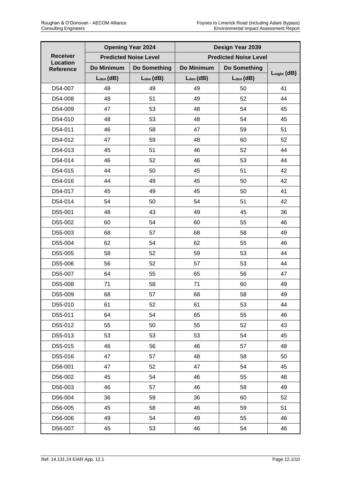|                              |                              | <b>Opening Year 2024</b> | Design Year 2039             |                |                  |
|------------------------------|------------------------------|--------------------------|------------------------------|----------------|------------------|
| <b>Receiver</b>              | <b>Predicted Noise Level</b> |                          | <b>Predicted Noise Level</b> |                |                  |
| Location<br><b>Reference</b> | Do Minimum                   | Do Something             | Do Minimum                   | Do Something   |                  |
|                              | $L_{den}$ (dB)               | $L_{den}$ (dB)           | $L_{den}$ (dB)               | $L_{den}$ (dB) | $L_{night}$ (dB) |
| D54-007                      | 48                           | 49                       | 49                           | 50             | 41               |
| D54-008                      | 48                           | 51                       | 49                           | 52             | 44               |
| D54-009                      | 47                           | 53                       | 48                           | 54             | 45               |
| D54-010                      | 48                           | 53                       | 48                           | 54             | 45               |
| D54-011                      | 46                           | 58                       | 47                           | 59             | 51               |
| D54-012                      | 47                           | 59                       | 48                           | 60             | 52               |
| D54-013                      | 45                           | 51                       | 46                           | 52             | 44               |
| D54-014                      | 46                           | 52                       | 46                           | 53             | 44               |
| D54-015                      | 44                           | 50                       | 45                           | 51             | 42               |
| D54-016                      | 44                           | 49                       | 45                           | 50             | 42               |
| D54-017                      | 45                           | 49                       | 45                           | 50             | 41               |
| D54-014                      | 54                           | 50                       | 54                           | 51             | 42               |
| D55-001                      | 48                           | 43                       | 49                           | 45             | 36               |
| D55-002                      | 60                           | 54                       | 60                           | 55             | 46               |
| D55-003                      | 68                           | 57                       | 68                           | 58             | 49               |
| D55-004                      | 62                           | 54                       | 62                           | 55             | 46               |
| D55-005                      | 58                           | 52                       | 59                           | 53             | 44               |
| D55-006                      | 56                           | 52                       | 57                           | 53             | 44               |
| D55-007                      | 64                           | 55                       | 65                           | 56             | 47               |
| D55-008                      | 71                           | 58                       | 71                           | 60             | 49               |
| D55-009                      | 68                           | 57                       | 68                           | 58             | 49               |
| D55-010                      | 61                           | 52                       | 61                           | 53             | 44               |
| D55-011                      | 64                           | 54                       | 65                           | 55             | 46               |
| D55-012                      | 55                           | 50                       | 55                           | 52             | 43               |
| D55-013                      | 53                           | 53                       | 53                           | 54             | 45               |
| D55-015                      | 46                           | 56                       | 46                           | 57             | 48               |
| D55-016                      | 47                           | 57                       | 48                           | 58             | 50               |
| D56-001                      | 47                           | 52                       | 47                           | 54             | 45               |
| D56-002                      | 45                           | 54                       | 46                           | 55             | 46               |
| D56-003                      | 46                           | 57                       | 46                           | 58             | 49               |
| D56-004                      | 36                           | 59                       | 36                           | 60             | 52               |
| D56-005                      | 45                           | 58                       | 46                           | 59             | 51               |
| D56-006                      | 49                           | 54                       | 49                           | 55             | 46               |
| D56-007                      | 45                           | 53                       | 46                           | 54             | 46               |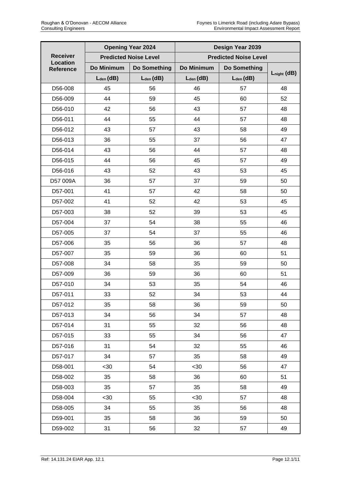|                              |                | <b>Opening Year 2024</b>     |                | Design Year 2039             |                  |
|------------------------------|----------------|------------------------------|----------------|------------------------------|------------------|
| <b>Receiver</b>              |                | <b>Predicted Noise Level</b> |                | <b>Predicted Noise Level</b> |                  |
| <b>Location</b><br>Reference | Do Minimum     | <b>Do Something</b>          | Do Minimum     | Do Something                 |                  |
|                              | $L_{den}$ (dB) | $L_{den}$ (dB)               | $L_{den}$ (dB) | $L_{den}$ (dB)               | $L_{night}$ (dB) |
| D56-008                      | 45             | 56                           | 46             | 57                           | 48               |
| D56-009                      | 44             | 59                           | 45             | 60                           | 52               |
| D56-010                      | 42             | 56                           | 43             | 57                           | 48               |
| D56-011                      | 44             | 55                           | 44             | 57                           | 48               |
| D56-012                      | 43             | 57                           | 43             | 58                           | 49               |
| D56-013                      | 36             | 55                           | 37             | 56                           | 47               |
| D56-014                      | 43             | 56                           | 44             | 57                           | 48               |
| D56-015                      | 44             | 56                           | 45             | 57                           | 49               |
| D56-016                      | 43             | 52                           | 43             | 53                           | 45               |
| D57 009A                     | 36             | 57                           | 37             | 59                           | 50               |
| D57-001                      | 41             | 57                           | 42             | 58                           | 50               |
| D57-002                      | 41             | 52                           | 42             | 53                           | 45               |
| D57-003                      | 38             | 52                           | 39             | 53                           | 45               |
| D57-004                      | 37             | 54                           | 38             | 55                           | 46               |
| D57-005                      | 37             | 54                           | 37             | 55                           | 46               |
| D57-006                      | 35             | 56                           | 36             | 57                           | 48               |
| D57-007                      | 35             | 59                           | 36             | 60                           | 51               |
| D57-008                      | 34             | 58                           | 35             | 59                           | 50               |
| D57-009                      | 36             | 59                           | 36             | 60                           | 51               |
| D57-010                      | 34             | 53                           | 35             | 54                           | 46               |
| D57-011                      | 33             | 52                           | 34             | 53                           | 44               |
| D57-012                      | 35             | 58                           | 36             | 59                           | 50               |
| D57-013                      | 34             | 56                           | 34             | 57                           | 48               |
| D57-014                      | 31             | 55                           | 32             | 56                           | 48               |
| D57-015                      | 33             | 55                           | 34             | 56                           | 47               |
| D57-016                      | 31             | 54                           | 32             | 55                           | 46               |
| D57-017                      | 34             | 57                           | 35             | 58                           | 49               |
| D58-001                      | $30$           | 54                           | $30$           | 56                           | 47               |
| D58-002                      | 35             | 58                           | 36             | 60                           | 51               |
| D58-003                      | 35             | 57                           | 35             | 58                           | 49               |
| D58-004                      | $30$           | 55                           | $30$           | 57                           | 48               |
| D58-005                      | 34             | 55                           | 35             | 56                           | 48               |
| D59-001                      | 35             | 58                           | 36             | 59                           | 50               |
| D59-002                      | 31             | 56                           | 32             | 57                           | 49               |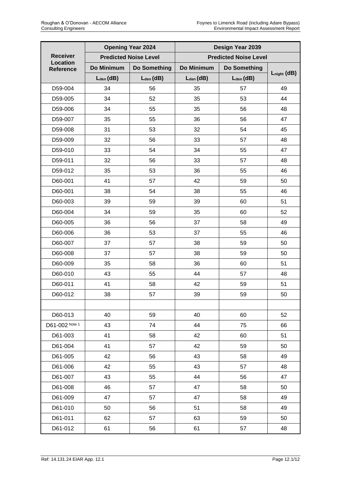|                              | <b>Opening Year 2024</b>     |                     | Design Year 2039             |                |                  |
|------------------------------|------------------------------|---------------------|------------------------------|----------------|------------------|
| <b>Receiver</b>              | <b>Predicted Noise Level</b> |                     | <b>Predicted Noise Level</b> |                |                  |
| Location<br><b>Reference</b> | Do Minimum                   | <b>Do Something</b> | Do Minimum                   | Do Something   |                  |
|                              | $L_{den}$ (dB)               | $L_{den}$ (dB)      | $L_{den}$ (dB)               | $L_{den}$ (dB) | $L_{night}$ (dB) |
| D59-004                      | 34                           | 56                  | 35                           | 57             | 49               |
| D59-005                      | 34                           | 52                  | 35                           | 53             | 44               |
| D59-006                      | 34                           | 55                  | 35                           | 56             | 48               |
| D59-007                      | 35                           | 55                  | 36                           | 56             | 47               |
| D59-008                      | 31                           | 53                  | 32                           | 54             | 45               |
| D59-009                      | 32                           | 56                  | 33                           | 57             | 48               |
| D59-010                      | 33                           | 54                  | 34                           | 55             | 47               |
| D59-011                      | 32                           | 56                  | 33                           | 57             | 48               |
| D59-012                      | 35                           | 53                  | 36                           | 55             | 46               |
| D60-001                      | 41                           | 57                  | 42                           | 59             | 50               |
| D60-001                      | 38                           | 54                  | 38                           | 55             | 46               |
| D60-003                      | 39                           | 59                  | 39                           | 60             | 51               |
| D60-004                      | 34                           | 59                  | 35                           | 60             | 52               |
| D60-005                      | 36                           | 56                  | 37                           | 58             | 49               |
| D60-006                      | 36                           | 53                  | 37                           | 55             | 46               |
| D60-007                      | 37                           | 57                  | 38                           | 59             | 50               |
| D60-008                      | 37                           | 57                  | 38                           | 59             | 50               |
| D60-009                      | 35                           | 58                  | 36                           | 60             | 51               |
| D60-010                      | 43                           | 55                  | 44                           | 57             | 48               |
| D60-011                      | 41                           | 58                  | 42                           | 59             | 51               |
| D60-012                      | 38                           | 57                  | 39                           | 59             | 50               |
|                              |                              |                     |                              |                |                  |
| D60-013                      | 40                           | 59                  | 40                           | 60             | 52               |
| D61-002 Note 1               | 43                           | 74                  | 44                           | 75             | 66               |
| D61-003                      | 41                           | 58                  | 42                           | 60             | 51               |
| D61-004                      | 41                           | 57                  | 42                           | 59             | 50               |
| D61-005                      | 42                           | 56                  | 43                           | 58             | 49               |
| D61-006                      | 42                           | 55                  | 43                           | 57             | 48               |
| D61-007                      | 43                           | 55                  | 44                           | 56             | 47               |
| D61-008                      | 46                           | 57                  | 47                           | 58             | 50               |
| D61-009                      | 47                           | 57                  | 47                           | 58             | 49               |
| D61-010                      | 50                           | 56                  | 51                           | 58             | 49               |
| D61-011                      | 62                           | 57                  | 63                           | 59             | 50               |
| D61-012                      | 61                           | 56                  | 61                           | 57             | 48               |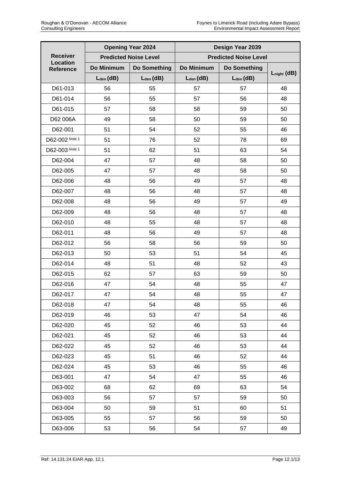|                                                        | <b>Opening Year 2024</b>     |                     | Design Year 2039             |                |                  |
|--------------------------------------------------------|------------------------------|---------------------|------------------------------|----------------|------------------|
| <b>Receiver</b><br><b>Location</b><br><b>Reference</b> | <b>Predicted Noise Level</b> |                     | <b>Predicted Noise Level</b> |                |                  |
|                                                        | Do Minimum                   | <b>Do Something</b> | Do Minimum                   | Do Something   | $L_{night}$ (dB) |
|                                                        | $L_{den}$ (dB)               | $L_{den}$ (dB)      | $L_{den}$ (dB)               | $L_{den}$ (dB) |                  |
| D61-013                                                | 56                           | 55                  | 57                           | 57             | 48               |
| D61-014                                                | 56                           | 55                  | 57                           | 56             | 48               |
| D61-015                                                | 57                           | 58                  | 58                           | 59             | 50               |
| D62 006A                                               | 49                           | 58                  | 50                           | 59             | 50               |
| D62-001                                                | 51                           | 54                  | 52                           | 55             | 46               |
| D62-002 Note 1                                         | 51                           | 76                  | 52                           | 78             | 69               |
| D62-003 Note 1                                         | 51                           | 62                  | 51                           | 63             | 54               |
| D62-004                                                | 47                           | 57                  | 48                           | 58             | 50               |
| D62-005                                                | 47                           | 57                  | 48                           | 58             | 50               |
| D62-006                                                | 48                           | 56                  | 49                           | 57             | 48               |
| D62-007                                                | 48                           | 56                  | 48                           | 57             | 48               |
| D62-008                                                | 48                           | 56                  | 49                           | 57             | 49               |
| D62-009                                                | 48                           | 56                  | 48                           | 57             | 48               |
| D62-010                                                | 48                           | 55                  | 48                           | 57             | 48               |
| D62-011                                                | 48                           | 56                  | 49                           | 57             | 48               |
| D62-012                                                | 56                           | 58                  | 56                           | 59             | 50               |
| D62-013                                                | 50                           | 53                  | 51                           | 54             | 45               |
| D62-014                                                | 48                           | 51                  | 48                           | 52             | 43               |
| D62-015                                                | 62                           | 57                  | 63                           | 59             | 50               |
| D62-016                                                | 47                           | 54                  | 48                           | 55             | 47               |
| D62-017                                                | 47                           | 54                  | 48                           | 55             | 47               |
| D62-018                                                | 47                           | 54                  | 48                           | 55             | 46               |
| D62-019                                                | 46                           | 53                  | 47                           | 54             | 46               |
| D62-020                                                | 45                           | 52                  | 46                           | 53             | 44               |
| D62-021                                                | 45                           | 52                  | 46                           | 53             | 44               |
| D62-022                                                | 45                           | 52                  | 46                           | 53             | 44               |
| D62-023                                                | 45                           | 51                  | 46                           | 52             | 44               |
| D62-024                                                | 45                           | 53                  | 46                           | 55             | 46               |
| D63-001                                                | 47                           | 54                  | 47                           | 55             | 46               |
| D63-002                                                | 68                           | 62                  | 69                           | 63             | 54               |
| D63-003                                                | 56                           | 57                  | 57                           | 59             | 50               |
| D63-004                                                | 50                           | 59                  | 51                           | 60             | 51               |
| D63-005                                                | 55                           | 57                  | 56                           | 59             | 50               |
| D63-006                                                | 53                           | 56                  | 54                           | 57             | 49               |